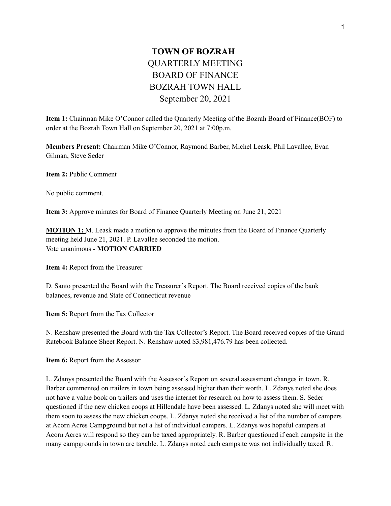## **TOWN OF BOZRAH** QUARTERLY MEETING BOARD OF FINANCE BOZRAH TOWN HALL September 20, 2021

**Item 1:** Chairman Mike O'Connor called the Quarterly Meeting of the Bozrah Board of Finance(BOF) to order at the Bozrah Town Hall on September 20, 2021 at 7:00p.m.

**Members Present:** Chairman Mike O'Connor, Raymond Barber, Michel Leask, Phil Lavallee, Evan Gilman, Steve Seder

**Item 2:** Public Comment

No public comment.

**Item 3:** Approve minutes for Board of Finance Quarterly Meeting on June 21, 2021

**MOTION 1:** M. Leask made a motion to approve the minutes from the Board of Finance Quarterly meeting held June 21, 2021. P. Lavallee seconded the motion. Vote unanimous - **MOTION CARRIED**

**Item 4:** Report from the Treasurer

D. Santo presented the Board with the Treasurer's Report. The Board received copies of the bank balances, revenue and State of Connecticut revenue

**Item 5:** Report from the Tax Collector

N. Renshaw presented the Board with the Tax Collector's Report. The Board received copies of the Grand Ratebook Balance Sheet Report. N. Renshaw noted \$3,981,476.79 has been collected.

**Item 6:** Report from the Assessor

L. Zdanys presented the Board with the Assessor's Report on several assessment changes in town. R. Barber commented on trailers in town being assessed higher than their worth. L. Zdanys noted she does not have a value book on trailers and uses the internet for research on how to assess them. S. Seder questioned if the new chicken coops at Hillendale have been assessed. L. Zdanys noted she will meet with them soon to assess the new chicken coops. L. Zdanys noted she received a list of the number of campers at Acorn Acres Campground but not a list of individual campers. L. Zdanys was hopeful campers at Acorn Acres will respond so they can be taxed appropriately. R. Barber questioned if each campsite in the many campgrounds in town are taxable. L. Zdanys noted each campsite was not individually taxed. R.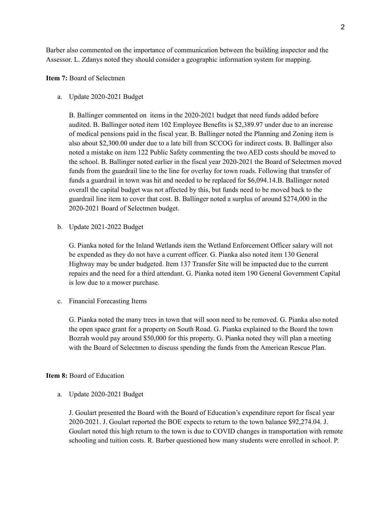Barber also commented on the importance of communication between the building inspector and the Assessor. L. Zdanys noted they should consider a geographic information system for mapping.

## **Item 7:** Board of Selectmen

## a. Update 2020-2021 Budget

B. Ballinger commented on items in the 2020-2021 budget that need funds added before audited. B. Ballinger noted item 102 Employee Benefits is \$2,389.97 under due to an increase of medical pensions paid in the fiscal year. B. Ballinger noted the Planning and Zoning item is also about \$2,300.00 under due to a late bill from SCCOG for indirect costs. B. Ballinger also noted a mistake on item 122 Public Safety commenting the two AED costs should be moved to the school. B. Ballinger noted earlier in the fiscal year 2020-2021 the Board of Selectmen moved funds from the guardrail line to the line for overlay for town roads. Following that transfer of funds a guardrail in town was hit and needed to be replaced for \$6,094.14.B. Ballinger noted overall the capital budget was not affected by this, but funds need to be moved back to the guardrail line item to cover that cost. B. Ballinger noted a surplus of around \$274,000 in the 2020-2021 Board of Selectmen budget.

b. Update 2021-2022 Budget

G. Pianka noted for the Inland Wetlands item the Wetland Enforcement Officer salary will not be expended as they do not have a current officer. G. Pianka also noted item 130 General Highway may be under budgeted. Item 137 Transfer Site will be impacted due to the current repairs and the need for a third attendant. G. Pianka noted item 190 General Government Capital is low due to a mower purchase.

c. Financial Forecasting Items

G. Pianka noted the many trees in town that will soon need to be removed. G. Pianka also noted the open space grant for a property on South Road. G. Pianka explained to the Board the town Bozrah would pay around \$50,000 for this property. G. Pianka noted they will plan a meeting with the Board of Selectmen to discuss spending the funds from the American Rescue Plan.

## **Item 8:** Board of Education

a. Update 2020-2021 Budget

J. Goulart presented the Board with the Board of Education's expenditure report for fiscal year 2020-2021. J. Goulart reported the BOE expects to return to the town balance \$92,274.04. J. Goulart noted this high return to the town is due to COVID changes in transportation with remote schooling and tuition costs. R. Barber questioned how many students were enrolled in school. P.